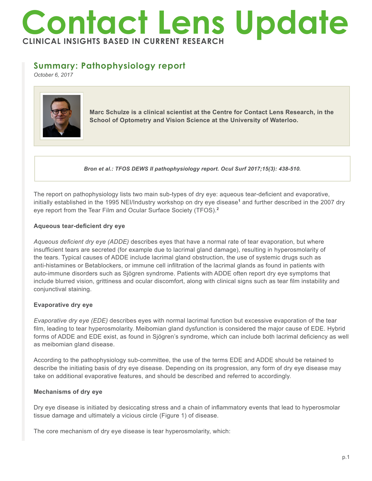# **Contact Lens Update CLINICAL INSIGHTS BASED IN CURRENT RESEARCH**

# **Summary: Pathophysiology report**

*October 6, 2017*



**Marc Schulze is a clinical scientist at the Centre for Contact Lens Research, in the School of Optometry and Vision Science at the University of Waterloo.**

*Bron et al.: TFOS DEWS II pathophysiology report. Ocul Surf 2017;15(3): 438-510.*

The report on pathophysiology lists two main sub-types of dry eye: aqueous tear-deficient and evaporative, initially established in the 1995 NEI/Industry workshop on dry eye disease<sup>1</sup> and further described in the 2007 dry eye report from the Tear Film and Ocular Surface Society (TFOS).**<sup>2</sup>**

#### **Aqueous tear-deficient dry eye**

*Aqueous deficient dry eye (ADDE)* describes eyes that have a normal rate of tear evaporation, but where insufficient tears are secreted (for example due to lacrimal gland damage), resulting in hyperosmolarity of the tears. Typical causes of ADDE include lacrimal gland obstruction, the use of systemic drugs such as anti-histamines or Betablockers, or immune cell infiltration of the lacrimal glands as found in patients with auto-immune disorders such as Sjögren syndrome. Patients with ADDE often report dry eye symptoms that include blurred vision, grittiness and ocular discomfort, along with clinical signs such as tear film instability and conjunctival staining.

## **Evaporative dry eye**

*Evaporative dry eye (EDE)* describes eyes with normal lacrimal function but excessive evaporation of the tear film, leading to tear hyperosmolarity. Meibomian gland dysfunction is considered the major cause of EDE. Hybrid forms of ADDE and EDE exist, as found in Sjögren's syndrome, which can include both lacrimal deficiency as well as meibomian gland disease.

According to the pathophysiology sub-committee, the use of the terms EDE and ADDE should be retained to describe the initiating basis of dry eye disease. Depending on its progression, any form of dry eye disease may take on additional evaporative features, and should be described and referred to accordingly.

## **Mechanisms of dry eye**

Dry eye disease is initiated by desiccating stress and a chain of inflammatory events that lead to hyperosmolar tissue damage and ultimately a vicious circle (Figure 1) of disease.

The core mechanism of dry eye disease is tear hyperosmolarity, which: